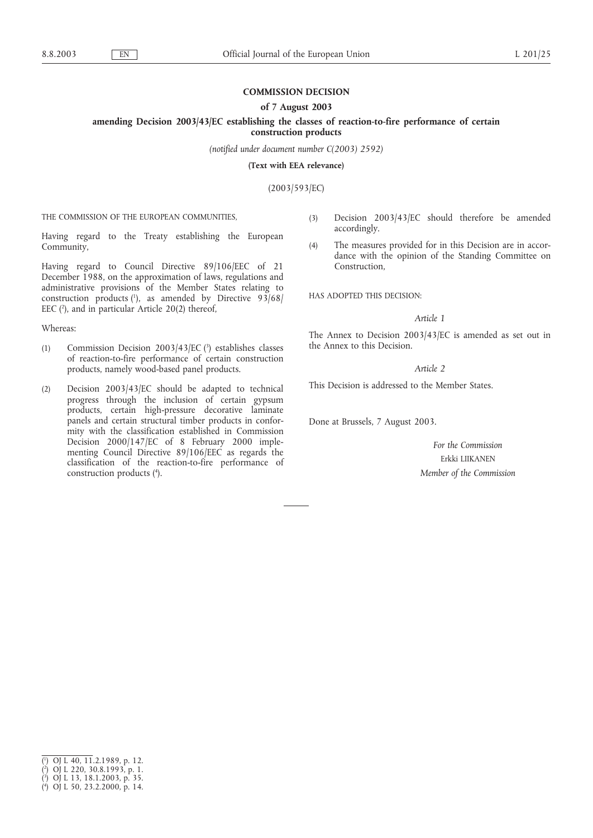# **COMMISSION DECISION**

## **of 7 August 2003**

**amending Decision 2003/43/EC establishing the classes of reaction-to-fire performance of certain**

**construction products**

*(notified under document number C(2003) 2592)*

**(Text with EEA relevance)**

(2003/593/EC)

THE COMMISSION OF THE EUROPEAN COMMUNITIES,

Having regard to the Treaty establishing the European Community,

Having regard to Council Directive 89/106/EEC of 21 December 1988, on the approximation of laws, regulations and administrative provisions of the Member States relating to construction products  $(1)$ , as amended by Directive 93/68/ EEC  $(2)$ , and in particular Article 20(2) thereof,

Whereas:

- (1) Commission Decision 2003/43/EC $(3)$  establishes classes of reaction-to-fire performance of certain construction products, namely wood-based panel products.
- (2) Decision 2003/43/EC should be adapted to technical progress through the inclusion of certain gypsum products, certain high-pressure decorative laminate panels and certain structural timber products in conformity with the classification established in Commission Decision 2000/147/EC of 8 February 2000 implementing Council Directive 89/106/EEC as regards the classification of the reaction-to-fire performance of construction products (4 ).
- (3) Decision 2003/43/EC should therefore be amended accordingly.
- (4) The measures provided for in this Decision are in accordance with the opinion of the Standing Committee on Construction,

HAS ADOPTED THIS DECISION:

# *Article 1*

The Annex to Decision 2003/43/EC is amended as set out in the Annex to this Decision.

# *Article 2*

This Decision is addressed to the Member States.

Done at Brussels, 7 August 2003.

*For the Commission* Erkki LIIKANEN *Member of the Commission*

<sup>(</sup> 1 ) OJ L 40, 11.2.1989, p. 12.

<sup>(</sup> 2 ) OJ L 220, 30.8.1993, p. 1.

<sup>(</sup> 3 ) OJ L 13, 18.1.2003, p. 35.

<sup>(</sup> 4 ) OJ L 50, 23.2.2000, p. 14.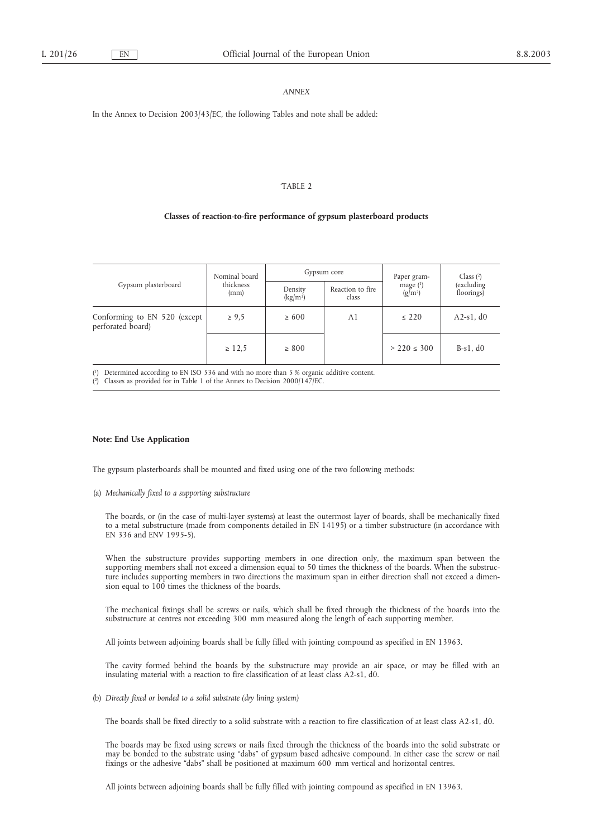### *ANNEX*

In the Annex to Decision 2003/43/EC, the following Tables and note shall be added:

#### 'TABLE 2

#### **Classes of reaction-to-fire performance of gypsum plasterboard products**

| Gypsum plasterboard                               | Nominal board<br>thickness<br>(mm) | Gypsum core           |                           | Paper gram-             | Class $(2)$              |
|---------------------------------------------------|------------------------------------|-----------------------|---------------------------|-------------------------|--------------------------|
|                                                   |                                    | Density<br>$(kg/m^3)$ | Reaction to fire<br>class | mage $(1)$<br>$(g/m^2)$ | (excluding<br>floorings) |
| Conforming to EN 520 (except<br>perforated board) | $\ge 9.5$                          | $\geq 600$            | A1                        | $\leq 220$              | $A2-s1$ , d $0$          |
|                                                   | $\geq 12,5$                        | $\geq 800$            |                           | $> 220 \le 300$         | $B-s1$ , $d0$            |

( 1) Determined according to EN ISO 536 and with no more than 5 % organic additive content.

( 2) Classes as provided for in Table 1 of the Annex to Decision 2000/147/EC.

### **Note: End Use Application**

The gypsum plasterboards shall be mounted and fixed using one of the two following methods:

(a) *Mechanically fixed to a supporting substructure*

The boards, or (in the case of multi-layer systems) at least the outermost layer of boards, shall be mechanically fixed to a metal substructure (made from components detailed in EN 14195) or a timber substructure (in accordance with EN 336 and ENV 1995-5).

When the substructure provides supporting members in one direction only, the maximum span between the supporting members shall not exceed a dimension equal to 50 times the thickness of the boards. When the substructure includes supporting members in two directions the maximum span in either direction shall not exceed a dimension equal to 100 times the thickness of the boards.

The mechanical fixings shall be screws or nails, which shall be fixed through the thickness of the boards into the substructure at centres not exceeding 300 mm measured along the length of each supporting member.

All joints between adjoining boards shall be fully filled with jointing compound as specified in EN 13963.

The cavity formed behind the boards by the substructure may provide an air space, or may be filled with an insulating material with a reaction to fire classification of at least class A2-s1, d0.

(b) *Directly fixed or bonded to a solid substrate (dry lining system)*

The boards shall be fixed directly to a solid substrate with a reaction to fire classification of at least class A2-s1, d0.

The boards may be fixed using screws or nails fixed through the thickness of the boards into the solid substrate or may be bonded to the substrate using "dabs" of gypsum based adhesive compound. In either case the screw or nail fixings or the adhesive "dabs" shall be positioned at maximum 600 mm vertical and horizontal centres.

All joints between adjoining boards shall be fully filled with jointing compound as specified in EN 13963.